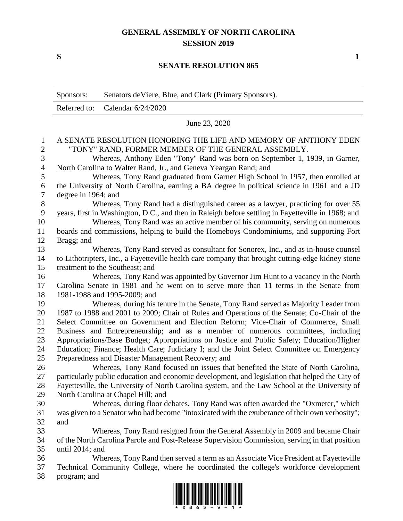## **GENERAL ASSEMBLY OF NORTH CAROLINA SESSION 2019**

**S 1**

## **SENATE RESOLUTION 865**

|                  | Sponsors:                                                                                                                                                             | Senators de Viere, Blue, and Clark (Primary Sponsors).                                                                                                                        |  |
|------------------|-----------------------------------------------------------------------------------------------------------------------------------------------------------------------|-------------------------------------------------------------------------------------------------------------------------------------------------------------------------------|--|
|                  | Referred to:                                                                                                                                                          | Calendar 6/24/2020                                                                                                                                                            |  |
|                  | June 23, 2020                                                                                                                                                         |                                                                                                                                                                               |  |
| $\mathbf{1}$     | A SENATE RESOLUTION HONORING THE LIFE AND MEMORY OF ANTHONY EDEN                                                                                                      |                                                                                                                                                                               |  |
| $\sqrt{2}$       | "TONY" RAND, FORMER MEMBER OF THE GENERAL ASSEMBLY.                                                                                                                   |                                                                                                                                                                               |  |
| 3                | Whereas, Anthony Eden "Tony" Rand was born on September 1, 1939, in Garner,                                                                                           |                                                                                                                                                                               |  |
| $\overline{4}$   | North Carolina to Walter Rand, Jr., and Geneva Yeargan Rand; and<br>Whereas, Tony Rand graduated from Garner High School in 1957, then enrolled at                    |                                                                                                                                                                               |  |
| 5<br>6           | the University of North Carolina, earning a BA degree in political science in 1961 and a JD                                                                           |                                                                                                                                                                               |  |
| $\boldsymbol{7}$ | degree in 1964; and                                                                                                                                                   |                                                                                                                                                                               |  |
| 8                | Whereas, Tony Rand had a distinguished career as a lawyer, practicing for over 55                                                                                     |                                                                                                                                                                               |  |
| 9                | years, first in Washington, D.C., and then in Raleigh before settling in Fayetteville in 1968; and                                                                    |                                                                                                                                                                               |  |
| 10               |                                                                                                                                                                       | Whereas, Tony Rand was an active member of his community, serving on numerous                                                                                                 |  |
| 11               |                                                                                                                                                                       | boards and commissions, helping to build the Homeboys Condominiums, and supporting Fort                                                                                       |  |
| 12               | Bragg; and                                                                                                                                                            |                                                                                                                                                                               |  |
| 13               |                                                                                                                                                                       | Whereas, Tony Rand served as consultant for Sonorex, Inc., and as in-house counsel                                                                                            |  |
| 14               | to Lithotripters, Inc., a Fayetteville health care company that brought cutting-edge kidney stone                                                                     |                                                                                                                                                                               |  |
| 15               | treatment to the Southeast; and                                                                                                                                       |                                                                                                                                                                               |  |
| 16               | Whereas, Tony Rand was appointed by Governor Jim Hunt to a vacancy in the North                                                                                       |                                                                                                                                                                               |  |
| 17               | Carolina Senate in 1981 and he went on to serve more than 11 terms in the Senate from                                                                                 |                                                                                                                                                                               |  |
| 18               |                                                                                                                                                                       | 1981-1988 and 1995-2009; and                                                                                                                                                  |  |
| 19               | Whereas, during his tenure in the Senate, Tony Rand served as Majority Leader from                                                                                    |                                                                                                                                                                               |  |
| 20<br>21         | 1987 to 1988 and 2001 to 2009; Chair of Rules and Operations of the Senate; Co-Chair of the                                                                           |                                                                                                                                                                               |  |
| 22               | Select Committee on Government and Election Reform; Vice-Chair of Commerce, Small<br>Business and Entrepreneurship; and as a member of numerous committees, including |                                                                                                                                                                               |  |
| 23               | Appropriations/Base Budget; Appropriations on Justice and Public Safety; Education/Higher                                                                             |                                                                                                                                                                               |  |
| 24               | Education; Finance; Health Care; Judiciary I; and the Joint Select Committee on Emergency                                                                             |                                                                                                                                                                               |  |
| 25               |                                                                                                                                                                       | Preparedness and Disaster Management Recovery; and                                                                                                                            |  |
| 26               |                                                                                                                                                                       | Whereas, Tony Rand focused on issues that benefited the State of North Carolina,                                                                                              |  |
| 27               |                                                                                                                                                                       | particularly public education and economic development, and legislation that helped the City of                                                                               |  |
| 28               |                                                                                                                                                                       | Fayetteville, the University of North Carolina system, and the Law School at the University of                                                                                |  |
| 29               |                                                                                                                                                                       | North Carolina at Chapel Hill; and                                                                                                                                            |  |
| 30               |                                                                                                                                                                       | Whereas, during floor debates, Tony Rand was often awarded the "Oxmeter," which                                                                                               |  |
| 31               |                                                                                                                                                                       | was given to a Senator who had become "intoxicated with the exuberance of their own verbosity";                                                                               |  |
| 32               | and                                                                                                                                                                   |                                                                                                                                                                               |  |
| 33               |                                                                                                                                                                       | Whereas, Tony Rand resigned from the General Assembly in 2009 and became Chair                                                                                                |  |
| 34               | of the North Carolina Parole and Post-Release Supervision Commission, serving in that position                                                                        |                                                                                                                                                                               |  |
| 35               | until $2014$ ; and                                                                                                                                                    |                                                                                                                                                                               |  |
| 36<br>37         |                                                                                                                                                                       | Whereas, Tony Rand then served a term as an Associate Vice President at Fayetteville<br>Technical Community College, where he coordinated the college's workforce development |  |
| 38               | program; and                                                                                                                                                          |                                                                                                                                                                               |  |
|                  |                                                                                                                                                                       | <u>i indiinin ini iniin niini niil ilmi niini ilmnii ilmi indi </u>                                                                                                           |  |
|                  |                                                                                                                                                                       |                                                                                                                                                                               |  |